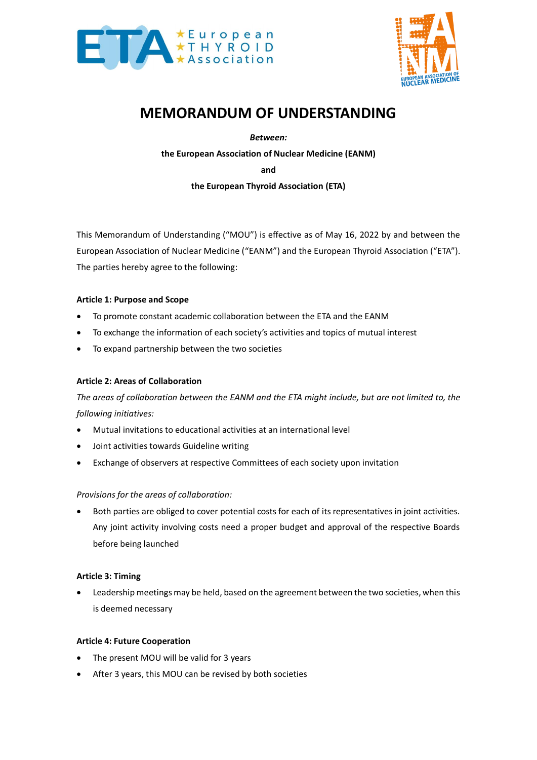



# **MEMORANDUM OF UNDERSTANDING**

*Between:*

**the European Association of Nuclear Medicine (EANM)**

**and**

**the European Thyroid Association (ETA)**

This Memorandum of Understanding ("MOU") is effective as of May 16, 2022 by and between the European Association of Nuclear Medicine ("EANM") and the European Thyroid Association ("ETA"). The parties hereby agree to the following:

## **Article 1: Purpose and Scope**

- To promote constant academic collaboration between the ETA and the EANM
- To exchange the information of each society's activities and topics of mutual interest
- To expand partnership between the two societies

## **Article 2: Areas of Collaboration**

*The areas of collaboration between the EANM and the ETA might include, but are not limited to, the following initiatives:*

- Mutual invitations to educational activities at an international level
- Joint activities towards Guideline writing
- Exchange of observers at respective Committees of each society upon invitation

## *Provisions for the areas of collaboration:*

Both parties are obliged to cover potential costs for each of its representatives in joint activities. Any joint activity involving costs need a proper budget and approval of the respective Boards before being launched

## **Article 3: Timing**

Leadership meetings may be held, based on the agreement between the two societies, when this is deemed necessary

## **Article 4: Future Cooperation**

- The present MOU will be valid for 3 years
- After 3 years, this MOU can be revised by both societies